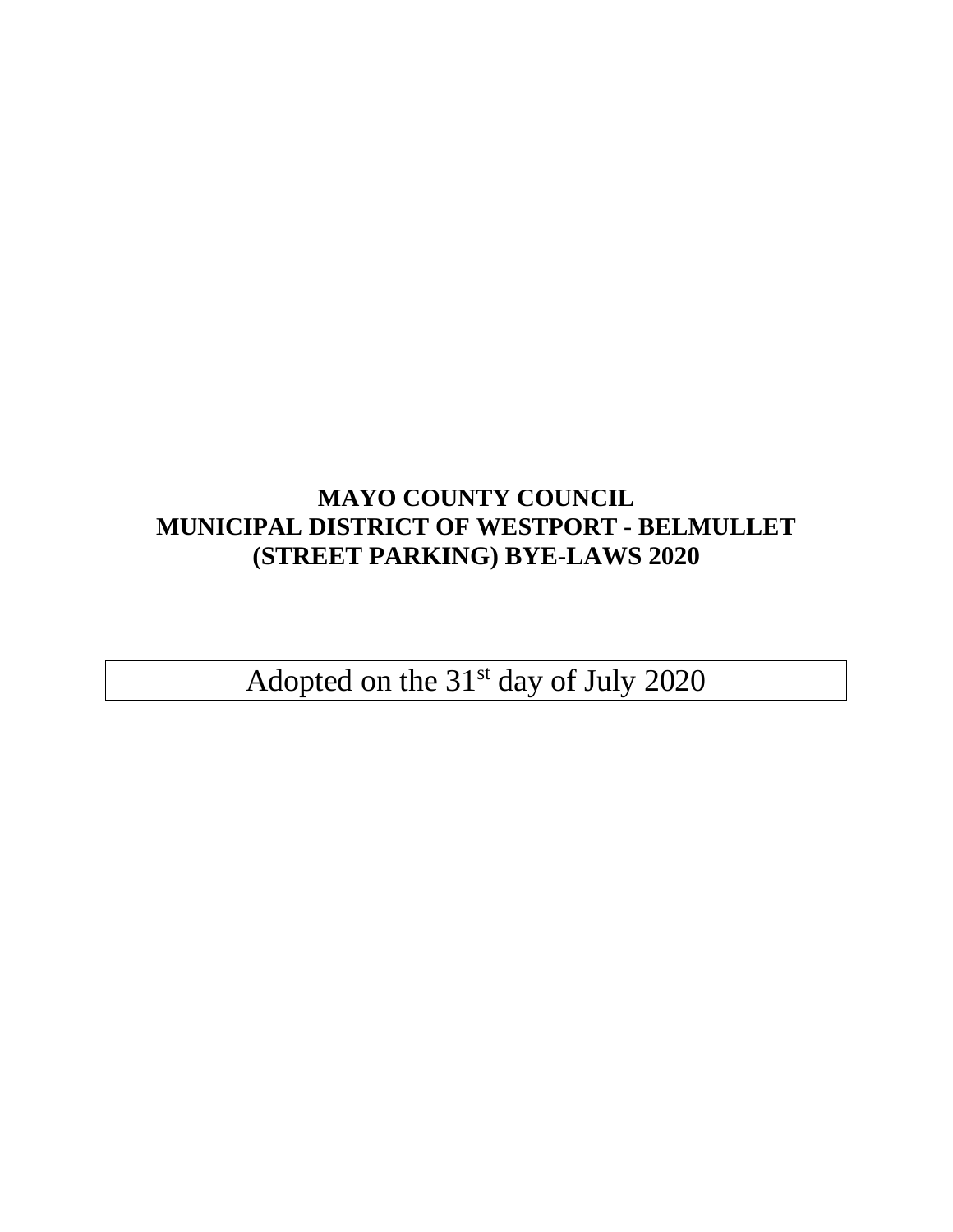# **MAYO COUNTY COUNCIL MUNICIPAL DISTRICT OF WESTPORT - BELMULLET (STREET PARKING) BYE-LAWS 2020**

Adopted on the 31<sup>st</sup> day of July 2020